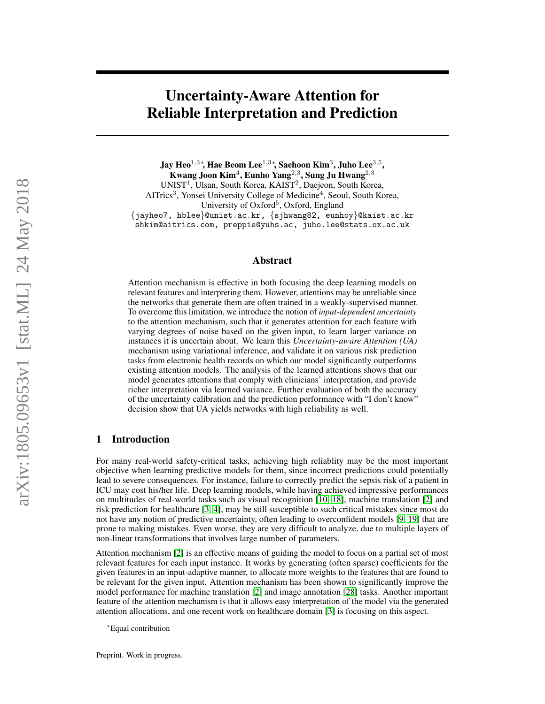# Uncertainty-Aware Attention for Reliable Interpretation and Prediction

Jay Heo $^{1,3}$ \*, Hae Beom Lee $^{1,3}$ \*, Saehoon Kim $^3$ , Juho Lee $^{3,5},$ Kwang Joon Kim $^4$ , Eunho Yang $^{2,3}$ , Sung Ju Hwang $^{2,3}$ UNIST<sup>1</sup>, Ulsan, South Korea, KAIST<sup>2</sup>, Daejeon, South Korea, AITrics<sup>3</sup>, Yonsei University College of Medicine<sup>4</sup>, Seoul, South Korea, University of Oxford<sup>5</sup>, Oxford, England {jayheo7, hblee}@unist.ac.kr, {sjhwang82, eunhoy}@kaist.ac.kr shkim@aitrics.com, preppie@yuhs.ac, juho.lee@stats.ox.ac.uk

#### Abstract

Attention mechanism is effective in both focusing the deep learning models on relevant features and interpreting them. However, attentions may be unreliable since the networks that generate them are often trained in a weakly-supervised manner. To overcome this limitation, we introduce the notion of *input-dependent uncertainty* to the attention mechanism, such that it generates attention for each feature with varying degrees of noise based on the given input, to learn larger variance on instances it is uncertain about. We learn this *Uncertainty-aware Attention (UA)* mechanism using variational inference, and validate it on various risk prediction tasks from electronic health records on which our model significantly outperforms existing attention models. The analysis of the learned attentions shows that our model generates attentions that comply with clinicians' interpretation, and provide richer interpretation via learned variance. Further evaluation of both the accuracy of the uncertainty calibration and the prediction performance with "I don't know" decision show that UA yields networks with high reliability as well.

# 1 Introduction

For many real-world safety-critical tasks, achieving high reliablity may be the most important objective when learning predictive models for them, since incorrect predictions could potentially lead to severe consequences. For instance, failure to correctly predict the sepsis risk of a patient in ICU may cost his/her life. Deep learning models, while having achieved impressive performances on multitudes of real-world tasks such as visual recognition [\[10,](#page-8-0) [18\]](#page-9-0), machine translation [\[2\]](#page-8-1) and risk prediction for healthcare [\[3,](#page-8-2) [4\]](#page-8-3), may be still susceptible to such critical mistakes since most do not have any notion of predictive uncertainty, often leading to overconfident models [\[9,](#page-8-4) [19\]](#page-9-1) that are prone to making mistakes. Even worse, they are very difficult to analyze, due to multiple layers of non-linear transformations that involves large number of parameters.

Attention mechanism [\[2\]](#page-8-1) is an effective means of guiding the model to focus on a partial set of most relevant features for each input instance. It works by generating (often sparse) coefficients for the given features in an input-adaptive manner, to allocate more weights to the features that are found to be relevant for the given input. Attention mechanism has been shown to significantly improve the model performance for machine translation [\[2\]](#page-8-1) and image annotation [\[28\]](#page-9-2) tasks. Another important feature of the attention mechanism is that it allows easy interpretation of the model via the generated attention allocations, and one recent work on healthcare domain [\[3\]](#page-8-2) is focusing on this aspect.

<sup>∗</sup>Equal contribution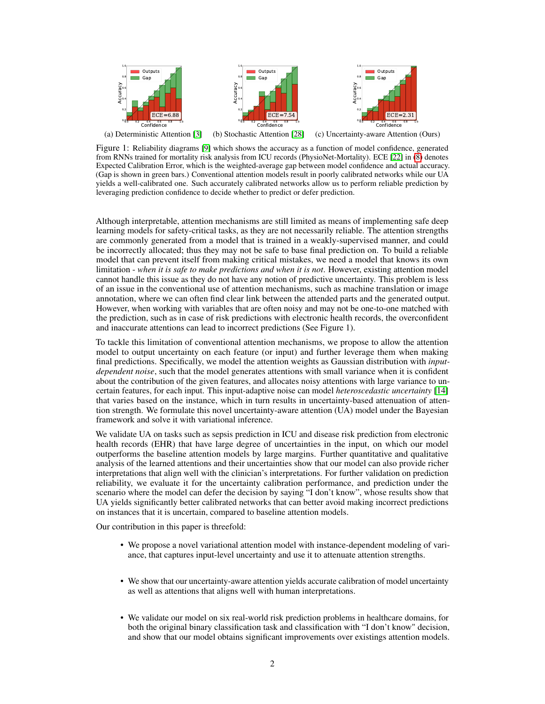

<span id="page-1-0"></span>(a) Deterministic Attention [\[3\]](#page-8-2) (b) Stochastic Attention [\[28\]](#page-9-2) (c) Uncertainty-aware Attention (Ours)

Figure 1: Reliability diagrams [\[9\]](#page-8-4) which shows the accuracy as a function of model confidence, generated from RNNs trained for mortality risk analysis from ICU records (PhysioNet-Mortality). ECE [\[22\]](#page-9-3) in [\(8\)](#page-4-0) denotes Expected Calibration Error, which is the weighted-average gap between model confidence and actual accuracy. (Gap is shown in green bars.) Conventional attention models result in poorly calibrated networks while our UA yields a well-calibrated one. Such accurately calibrated networks allow us to perform reliable prediction by leveraging prediction confidence to decide whether to predict or defer prediction.

Although interpretable, attention mechanisms are still limited as means of implementing safe deep learning models for safety-critical tasks, as they are not necessarily reliable. The attention strengths are commonly generated from a model that is trained in a weakly-supervised manner, and could be incorrectly allocated; thus they may not be safe to base final prediction on. To build a reliable model that can prevent itself from making critical mistakes, we need a model that knows its own limitation - *when it is safe to make predictions and when it is not*. However, existing attention model cannot handle this issue as they do not have any notion of predictive uncertainty. This problem is less of an issue in the conventional use of attention mechanisms, such as machine translation or image annotation, where we can often find clear link between the attended parts and the generated output. However, when working with variables that are often noisy and may not be one-to-one matched with the prediction, such as in case of risk predictions with electronic health records, the overconfident and inaccurate attentions can lead to incorrect predictions (See Figure 1).

To tackle this limitation of conventional attention mechanisms, we propose to allow the attention model to output uncertainty on each feature (or input) and further leverage them when making final predictions. Specifically, we model the attention weights as Gaussian distribution with *inputdependent noise*, such that the model generates attentions with small variance when it is confident about the contribution of the given features, and allocates noisy attentions with large variance to uncertain features, for each input. This input-adaptive noise can model *heteroscedastic uncertainty* [\[14\]](#page-8-5) that varies based on the instance, which in turn results in uncertainty-based attenuation of attention strength. We formulate this novel uncertainty-aware attention (UA) model under the Bayesian framework and solve it with variational inference.

We validate UA on tasks such as sepsis prediction in ICU and disease risk prediction from electronic health records (EHR) that have large degree of uncertainties in the input, on which our model outperforms the baseline attention models by large margins. Further quantitative and qualitative analysis of the learned attentions and their uncertainties show that our model can also provide richer interpretations that align well with the clinician's interpretations. For further validation on prediction reliability, we evaluate it for the uncertainty calibration performance, and prediction under the scenario where the model can defer the decision by saying "I don't know", whose results show that UA yields significantly better calibrated networks that can better avoid making incorrect predictions on instances that it is uncertain, compared to baseline attention models.

Our contribution in this paper is threefold:

- We propose a novel variational attention model with instance-dependent modeling of variance, that captures input-level uncertainty and use it to attenuate attention strengths.
- We show that our uncertainty-aware attention yields accurate calibration of model uncertainty as well as attentions that aligns well with human interpretations.
- We validate our model on six real-world risk prediction problems in healthcare domains, for both the original binary classification task and classification with "I don't know" decision, and show that our model obtains significant improvements over existings attention models.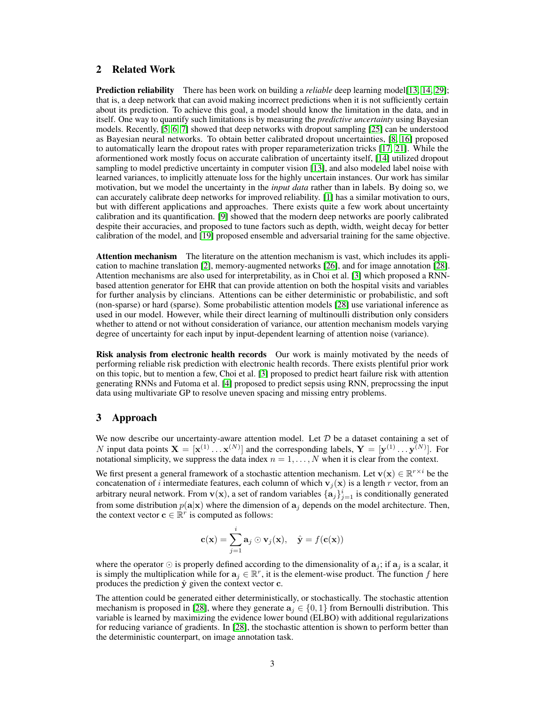# 2 Related Work

**Prediction reliability** There has been work on building a *reliable* deep learning model[\[13,](#page-8-6) [14,](#page-8-5) [29\]](#page-9-4); that is, a deep network that can avoid making incorrect predictions when it is not sufficiently certain about its prediction. To achieve this goal, a model should know the limitation in the data, and in itself. One way to quantify such limitations is by measuring the *predictive uncertainty* using Bayesian models. Recently, [\[5,](#page-8-7) [6,](#page-8-8) [7\]](#page-8-9) showed that deep networks with dropout sampling [\[25\]](#page-9-5) can be understood as Bayesian neural networks. To obtain better calibrated dropout uncertainties, [\[8,](#page-8-10) [16\]](#page-8-11) proposed to automatically learn the dropout rates with proper reparameterization tricks [\[17,](#page-8-12) [21\]](#page-9-6). While the aformentioned work mostly focus on accurate calibration of uncertainty itself, [\[14\]](#page-8-5) utilized dropout sampling to model predictive uncertainty in computer vision [\[13\]](#page-8-6), and also modeled label noise with learned variances, to implicitly attenuate loss for the highly uncertain instances. Our work has similar motivation, but we model the uncertainty in the *input data* rather than in labels. By doing so, we can accurately calibrate deep networks for improved reliability. [\[1\]](#page-8-13) has a similar motivation to ours, but with different applications and approaches. There exists quite a few work about uncertainty calibration and its quantification. [\[9\]](#page-8-4) showed that the modern deep networks are poorly calibrated despite their accuracies, and proposed to tune factors such as depth, width, weight decay for better calibration of the model, and [\[19\]](#page-9-1) proposed ensemble and adversarial training for the same objective.

Attention mechanism The literature on the attention mechanism is vast, which includes its application to machine translation [\[2\]](#page-8-1), memory-augmented networks [\[26\]](#page-9-7), and for image annotation [\[28\]](#page-9-2). Attention mechanisms are also used for interpretability, as in Choi et al. [\[3\]](#page-8-2) which proposed a RNNbased attention generator for EHR that can provide attention on both the hospital visits and variables for further analysis by clincians. Attentions can be either deterministic or probabilistic, and soft (non-sparse) or hard (sparse). Some probabilistic attention models [\[28\]](#page-9-2) use variational inference as used in our model. However, while their direct learning of multinoulli distribution only considers whether to attend or not without consideration of variance, our attention mechanism models varying degree of uncertainty for each input by input-dependent learning of attention noise (variance).

Risk analysis from electronic health records Our work is mainly motivated by the needs of performing reliable risk prediction with electronic health records. There exists plentiful prior work on this topic, but to mention a few, Choi et al. [\[3\]](#page-8-2) proposed to predict heart failure risk with attention generating RNNs and Futoma et al. [\[4\]](#page-8-3) proposed to predict sepsis using RNN, preprocssing the input data using multivariate GP to resolve uneven spacing and missing entry problems.

# 3 Approach

We now describe our uncertainty-aware attention model. Let  $D$  be a dataset containing a set of N input data points  $X = [x^{(1)} \dots x^{(N)}]$  and the corresponding labels,  $Y = [y^{(1)} \dots y^{(N)}]$ . For notational simplicity, we suppress the data index  $n = 1, \ldots, N$  when it is clear from the context.

We first present a general framework of a stochastic attention mechanism. Let  $\mathbf{v}(\mathbf{x}) \in \mathbb{R}^{r \times i}$  be the concatenation of i intermediate features, each column of which  $v_j(x)$  is a length r vector, from an arbitrary neural network. From  $\mathbf{v}(\mathbf{x})$ , a set of random variables  $\{\mathbf{a}_j\}_{j=1}^i$  is conditionally generated from some distribution  $p(\mathbf{a}|\mathbf{x})$  where the dimension of  $\mathbf{a}_i$  depends on the model architecture. Then, the context vector  $\mathbf{c} \in \mathbb{R}^r$  is computed as follows:

$$
\mathbf{c}(\mathbf{x}) = \sum_{j=1}^{i} \mathbf{a}_j \odot \mathbf{v}_j(\mathbf{x}), \quad \hat{\mathbf{y}} = f(\mathbf{c}(\mathbf{x}))
$$

where the operator  $\odot$  is properly defined according to the dimensionality of  $a_i$ ; if  $a_j$  is a scalar, it is simply the multiplication while for  $a_j \in \mathbb{R}^r$ , it is the element-wise product. The function f here produces the prediction  $\hat{y}$  given the context vector c.

The attention could be generated either deterministically, or stochastically. The stochastic attention mechanism is proposed in [\[28\]](#page-9-2), where they generate  $a_i \in \{0, 1\}$  from Bernoulli distribution. This variable is learned by maximizing the evidence lower bound (ELBO) with additional regularizations for reducing variance of gradients. In [\[28\]](#page-9-2), the stochastic attention is shown to perform better than the deterministic counterpart, on image annotation task.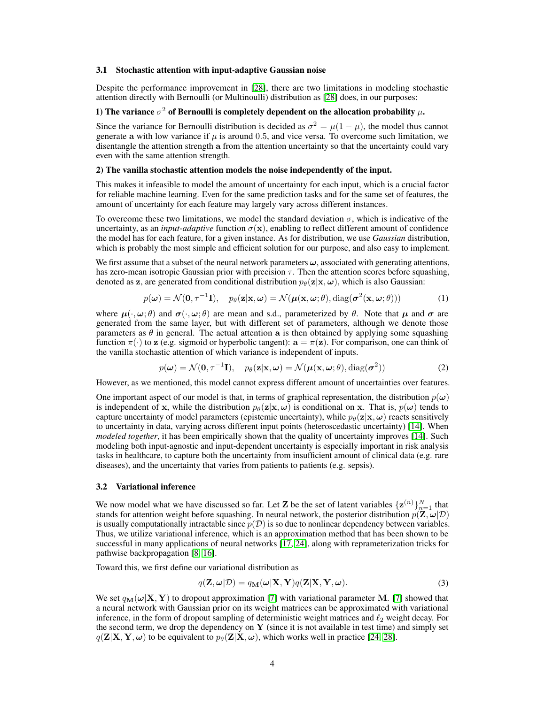#### 3.1 Stochastic attention with input-adaptive Gaussian noise

Despite the performance improvement in [\[28\]](#page-9-2), there are two limitations in modeling stochastic attention directly with Bernoulli (or Multinoulli) distribution as [\[28\]](#page-9-2) does, in our purposes:

## 1) The variance  $\sigma^2$  of Bernoulli is completely dependent on the allocation probability  $\mu$ .

Since the variance for Bernoulli distribution is decided as  $\sigma^2 = \mu(1 - \mu)$ , the model thus cannot generate a with low variance if  $\mu$  is around 0.5, and vice versa. To overcome such limitation, we disentangle the attention strength a from the attention uncertainty so that the uncertainty could vary even with the same attention strength.

#### 2) The vanilla stochastic attention models the noise independently of the input.

This makes it infeasible to model the amount of uncertainty for each input, which is a crucial factor for reliable machine learning. Even for the same prediction tasks and for the same set of features, the amount of uncertainty for each feature may largely vary across different instances.

To overcome these two limitations, we model the standard deviation  $\sigma$ , which is indicative of the uncertainty, as an *input-adaptive* function  $\sigma(\mathbf{x})$ , enabling to reflect different amount of confidence the model has for each feature, for a given instance. As for distribution, we use *Gaussian* distribution, which is probably the most simple and efficient solution for our purpose, and also easy to implement.

We first assume that a subset of the neural network parameters  $\omega$ , associated with generating attentions, has zero-mean isotropic Gaussian prior with precision  $\tau$ . Then the attention scores before squashing, denoted as z, are generated from conditional distribution  $p_{\theta}(\mathbf{z}|\mathbf{x}, \omega)$ , which is also Gaussian:

$$
p(\boldsymbol{\omega}) = \mathcal{N}(\mathbf{0}, \tau^{-1}\mathbf{I}), \quad p_{\theta}(\mathbf{z}|\mathbf{x}, \boldsymbol{\omega}) = \mathcal{N}(\boldsymbol{\mu}(\mathbf{x}, \boldsymbol{\omega}; \theta), \text{diag}(\boldsymbol{\sigma}^2(\mathbf{x}, \boldsymbol{\omega}; \theta)))
$$
(1)

where  $\mu(\cdot,\omega;\theta)$  and  $\sigma(\cdot,\omega;\theta)$  are mean and s.d., parameterized by  $\theta$ . Note that  $\mu$  and  $\sigma$  are generated from the same layer, but with different set of parameters, although we denote those parameters as  $\theta$  in general. The actual attention a is then obtained by applying some squashing function  $\pi(\cdot)$  to z (e.g. sigmoid or hyperbolic tangent):  $\mathbf{a} = \pi(\mathbf{z})$ . For comparison, one can think of the vanilla stochastic attention of which variance is independent of inputs.

<span id="page-3-1"></span><span id="page-3-0"></span>
$$
p(\boldsymbol{\omega}) = \mathcal{N}(\mathbf{0}, \tau^{-1}\mathbf{I}), \quad p_{\theta}(\mathbf{z}|\mathbf{x}, \boldsymbol{\omega}) = \mathcal{N}(\boldsymbol{\mu}(\mathbf{x}, \boldsymbol{\omega}; \theta), \text{diag}(\boldsymbol{\sigma}^2))
$$
(2)

However, as we mentioned, this model cannot express different amount of uncertainties over features.

One important aspect of our model is that, in terms of graphical representation, the distribution  $p(\omega)$ is independent of x, while the distribution  $p_{\theta}(\mathbf{z}|\mathbf{x}, \omega)$  is conditional on x. That is,  $p(\omega)$  tends to capture uncertainty of model parameters (epistemic uncertainty), while  $p_{\theta}(\mathbf{z}|\mathbf{x}, \omega)$  reacts sensitively to uncertainty in data, varying across different input points (heteroscedastic uncertainty) [\[14\]](#page-8-5). When *modeled together*, it has been empirically shown that the quality of uncertainty improves [\[14\]](#page-8-5). Such modeling both input-agnostic and input-dependent uncertainty is especially important in risk analysis tasks in healthcare, to capture both the uncertainty from insufficient amount of clinical data (e.g. rare diseases), and the uncertainty that varies from patients to patients (e.g. sepsis).

#### 3.2 Variational inference

We now model what we have discussed so far. Let **Z** be the set of latent variables  $\{z^{(n)}\}_{n=1}^N$  that stands for attention weight before squashing. In neural network, the posterior distribution  $p(\mathbf{Z}, \omega | \mathcal{D})$ is usually computationally intractable since  $p(\mathcal{D})$  is so due to nonlinear dependency between variables. Thus, we utilize variational inference, which is an approximation method that has been shown to be successful in many applications of neural networks [\[17,](#page-8-12) [24\]](#page-9-8), along with reprameterization tricks for pathwise backpropagation [\[8,](#page-8-10) [16\]](#page-8-11).

Toward this, we first define our variational distribution as

$$
q(\mathbf{Z}, \boldsymbol{\omega}|\mathcal{D}) = q_{\mathbf{M}}(\boldsymbol{\omega}|\mathbf{X}, \mathbf{Y})q(\mathbf{Z}|\mathbf{X}, \mathbf{Y}, \boldsymbol{\omega}).
$$
\n(3)

We set  $q_M(\omega|X, Y)$  to dropout approximation [\[7\]](#page-8-9) with variational parameter M. [7] showed that a neural network with Gaussian prior on its weight matrices can be approximated with variational inference, in the form of dropout sampling of deterministic weight matrices and  $\ell_2$  weight decay. For the second term, we drop the dependency on  $\bf{Y}$  (since it is not available in test time) and simply set  $q(\mathbf{Z}|\mathbf{X}, \mathbf{Y}, \boldsymbol{\omega})$  to be equivalent to  $p_{\theta}(\mathbf{Z}|\mathbf{X}, \boldsymbol{\omega})$ , which works well in practice [\[24,](#page-9-8) [28\]](#page-9-2).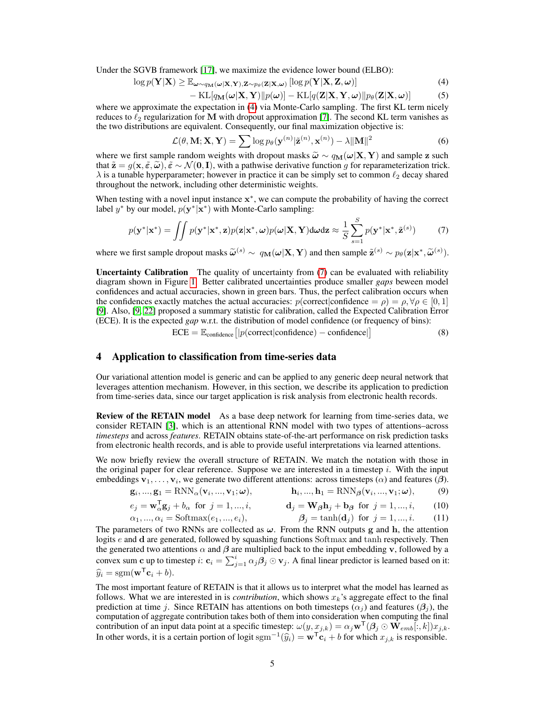Under the SGVB framework [\[17\]](#page-8-12), we maximize the evidence lower bound (ELBO):

$$
\log p(\mathbf{Y}|\mathbf{X}) \geq \mathbb{E}_{\boldsymbol{\omega} \sim q_{\mathbf{M}}(\boldsymbol{\omega}|\mathbf{X}, \mathbf{Y}), \mathbf{Z} \sim p_{\theta}(\mathbf{Z}|\mathbf{X}, \boldsymbol{\omega})} [\log p(\mathbf{Y}|\mathbf{X}, \mathbf{Z}, \boldsymbol{\omega})] \tag{4}
$$

<span id="page-4-5"></span><span id="page-4-1"></span>
$$
-\mathrm{KL}[q_{\mathbf{M}}(\boldsymbol{\omega}|\mathbf{X},\mathbf{Y})||p(\boldsymbol{\omega})] - \mathrm{KL}[q(\mathbf{Z}|\mathbf{X},\mathbf{Y},\boldsymbol{\omega})||p_{\theta}(\mathbf{Z}|\mathbf{X},\boldsymbol{\omega})]
$$
(5)

where we approximate the expectation in [\(4\)](#page-4-1) via Monte-Carlo sampling. The first KL term nicely reduces to  $\ell_2$  regularization for M with dropout approximation [\[7\]](#page-8-9). The second KL term vanishes as the two distributions are equivalent. Consequently, our final maximization objective is:

<span id="page-4-2"></span>
$$
\mathcal{L}(\theta, \mathbf{M}; \mathbf{X}, \mathbf{Y}) = \sum \log p_{\theta}(\mathbf{y}^{(n)} | \tilde{\mathbf{z}}^{(n)}, \mathbf{x}^{(n)}) - \lambda ||\mathbf{M}||^2
$$
 (6)

where we first sample random weights with dropout masks  $\tilde{\omega} \sim q_M(\omega|X, Y)$  and sample z such that  $\tilde{\mathbf{z}} = g(\mathbf{x}, \tilde{\epsilon}, \tilde{\omega}), \tilde{\epsilon} \sim \mathcal{N}(\mathbf{0}, \mathbf{I})$ , with a pathwise derivative function g for reparameterization trick.  $\lambda$  is a tunable hyperparameter; however in practice it can be simply set to common  $\ell_2$  decay shared throughout the network, including other deterministic weights.

When testing with a novel input instance  $x^*$ , we can compute the probability of having the correct label  $y^*$  by our model,  $p(y^*|\mathbf{x}^*)$  with Monte-Carlo sampling:

$$
p(\mathbf{y}^*|\mathbf{x}^*) = \iint p(\mathbf{y}^*|\mathbf{x}^*, \mathbf{z}) p(\mathbf{z}|\mathbf{x}^*, \boldsymbol{\omega}) p(\boldsymbol{\omega}|\mathbf{X}, \mathbf{Y}) \, d\boldsymbol{\omega} \, d\mathbf{z} \approx \frac{1}{S} \sum_{s=1}^S p(\mathbf{y}^*|\mathbf{x}^*, \tilde{\mathbf{z}}^{(s)}) \tag{7}
$$

where we first sample dropout masks  $\widetilde{\omega}^{(s)} \sim q_{\mathbf{M}}(\omega|\mathbf{X}, \mathbf{Y})$  and then sample  $\widetilde{\mathbf{z}}^{(s)} \sim p_{\theta}(\mathbf{z}|\mathbf{x}^*, \widetilde{\omega}^{(s)})$ .

Uncertainty Calibration The quality of uncertainty from [\(7\)](#page-4-2) can be evaluated with reliability diagram shown in Figure [1.](#page-1-0) Better calibrated uncertainties produce smaller *gaps* beween model confidences and actual accuracies, shown in green bars. Thus, the perfect calibration occurs when the confidences exactly matches the actual accuracies:  $p(\text{correct}|\text{confidence} = \rho) = \rho, \forall \rho \in [0, 1]$ [\[9\]](#page-8-4). Also, [\[9,](#page-8-4) [22\]](#page-9-3) proposed a summary statistic for calibration, called the Expected Calibration Error (ECE). It is the expected *gap* w.r.t. the distribution of model confidence (or frequency of bins):

> <span id="page-4-3"></span><span id="page-4-0"></span> $\text{ECE} = \mathbb{E}_{\text{confidence}} \big[ |p(\text{correct}|\text{confidence}) - \text{confidence}| \big]$ (8)

## 4 Application to classification from time-series data

Our variational attention model is generic and can be applied to any generic deep neural network that leverages attention mechanism. However, in this section, we describe its application to prediction from time-series data, since our target application is risk analysis from electronic health records.

Review of the RETAIN model As a base deep network for learning from time-series data, we consider RETAIN [\[3\]](#page-8-2), which is an attentional RNN model with two types of attentions–across *timesteps* and across *features*. RETAIN obtains state-of-the-art performance on risk prediction tasks from electronic health records, and is able to provide useful interpretations via learned attentions.

We now briefly review the overall structure of RETAIN. We match the notation with those in the original paper for clear reference. Suppose we are interested in a timestep  $i$ . With the input embeddings  $v_1, \ldots, v_i$ , we generate two different attentions: across timesteps  $(\alpha)$  and features  $(\beta)$ .

$$
\mathbf{g}_i, ..., \mathbf{g}_1 = \text{RNN}_{\alpha}(\mathbf{v}_i, ..., \mathbf{v}_1; \boldsymbol{\omega}), \qquad \qquad \mathbf{h}_i, ..., \mathbf{h}_1 = \text{RNN}_{\beta}(\mathbf{v}_i, ..., \mathbf{v}_1; \boldsymbol{\omega}), \qquad (9)
$$

$$
e_j = \mathbf{w}_\alpha^\mathsf{T} \mathbf{g}_j + b_\alpha \quad \text{for} \quad j = 1, \dots, i, \qquad \qquad \mathbf{d}_j = \mathbf{W}_\beta \mathbf{h}_j + \mathbf{b}_\beta \quad \text{for} \quad j = 1, \dots, i, \qquad (10)
$$

<span id="page-4-4"></span>
$$
\alpha_1, ..., \alpha_i = \text{Softmax}(e_1, ..., e_i),
$$
\n $\beta_j = \tanh(\mathbf{d}_j) \text{ for } j = 1, ..., i.$ \n(11)

The parameters of two RNNs are collected as  $\omega$ . From the RNN outputs g and h, the attention logits e and d are generated, followed by squashing functions Softmax and tanh respectively. Then the generated two attentions  $\alpha$  and  $\beta$  are multiplied back to the input embedding v, followed by a convex sum c up to timestep  $i:$   $\mathbf{c}_i = \sum_{j=1}^i \alpha_j \beta_j \odot \mathbf{v}_j$ . A final linear predictor is learned based on it:  $\widehat{y}_i = \text{sgm}(\mathbf{w}^{\mathsf{T}} \mathbf{c}_i + b).$ 

The most important feature of RETAIN is that it allows us to interpret what the model has learned as follows. What we are interested in is *contribution*, which shows  $x_k$ 's aggregate effect to the final prediction at time j. Since RETAIN has attentions on both timesteps ( $\alpha_i$ ) and features ( $\beta_i$ ), the computation of aggregate contribution takes both of them into consideration when computing the final contribution of an input data point at a specific timestep:  $\omega(y, x_{j,k}) = \alpha_j \mathbf{w}^\mathsf{T}(\beta_j \odot \mathbf{W}_{emb}[:, k]) x_{j,k}$ . In other words, it is a certain portion of logit sgm<sup>-1</sup>( $\hat{y}_i$ ) =  $\mathbf{w}^T \mathbf{c}_i + b$  for which  $x_{j,k}$  is responsible.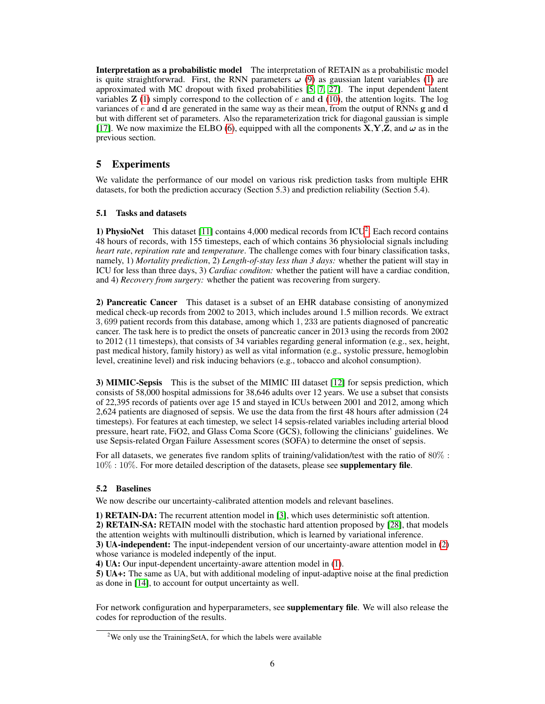Interpretation as a probabilistic model The interpretation of RETAIN as a probabilistic model is quite straightforwrad. First, the RNN parameters  $\omega$  [\(9\)](#page-4-3) as gaussian latent variables [\(1\)](#page-3-0) are approximated with MC dropout with fixed probabilities [\[5,](#page-8-7) [7,](#page-8-9) [27\]](#page-9-9). The input dependent latent variables  $\mathbf{Z}$  [\(1\)](#page-3-0) simply correspond to the collection of e and  $\mathbf{d}$  [\(10\)](#page-4-4), the attention logits. The log variances of  $e$  and  $\bf d$  are generated in the same way as their mean, from the output of RNNs  $\bf g$  and  $\bf d$ but with different set of parameters. Also the reparameterization trick for diagonal gaussian is simple [\[17\]](#page-8-12). We now maximize the ELBO [\(6\)](#page-4-5), equipped with all the components  $X, Y, Z$ , and  $\omega$  as in the previous section.

# 5 Experiments

We validate the performance of our model on various risk prediction tasks from multiple EHR datasets, for both the prediction accuracy (Section 5.3) and prediction reliability (Section 5.4).

#### 5.1 Tasks and datasets

1) PhysioNet This dataset [\[11\]](#page-8-14) contains  $4,000$  medical records from ICU<sup>[2](#page-5-0)</sup>. Each record contains 48 hours of records, with 155 timesteps, each of which contains 36 physiolocial signals including *heart rate*, *repiration rate* and *temperature*. The challenge comes with four binary classification tasks, namely, 1) *Mortality prediction*, 2) *Length-of-stay less than 3 days:* whether the patient will stay in ICU for less than three days, 3) *Cardiac conditon:* whether the patient will have a cardiac condition, and 4) *Recovery from surgery:* whether the patient was recovering from surgery.

2) Pancreatic Cancer This dataset is a subset of an EHR database consisting of anonymized medical check-up records from 2002 to 2013, which includes around 1.5 million records. We extract 3, 699 patient records from this database, among which 1, 233 are patients diagnosed of pancreatic cancer. The task here is to predict the onsets of pancreatic cancer in 2013 using the records from 2002 to 2012 (11 timesteps), that consists of 34 variables regarding general information (e.g., sex, height, past medical history, family history) as well as vital information (e.g., systolic pressure, hemoglobin level, creatinine level) and risk inducing behaviors (e.g., tobacco and alcohol consumption).

3) MIMIC-Sepsis This is the subset of the MIMIC III dataset [\[12\]](#page-8-15) for sepsis prediction, which consists of 58,000 hospital admissions for 38,646 adults over 12 years. We use a subset that consists of 22,395 records of patients over age 15 and stayed in ICUs between 2001 and 2012, among which 2,624 patients are diagnosed of sepsis. We use the data from the first 48 hours after admission (24 timesteps). For features at each timestep, we select 14 sepsis-related variables including arterial blood pressure, heart rate, FiO2, and Glass Coma Score (GCS), following the clinicians' guidelines. We use Sepsis-related Organ Failure Assessment scores (SOFA) to determine the onset of sepsis.

For all datasets, we generates five random splits of training/validation/test with the ratio of  $80\%$ :  $10\% : 10\%$ . For more detailed description of the datasets, please see **supplementary file**.

#### 5.2 Baselines

We now describe our uncertainty-calibrated attention models and relevant baselines.

1) RETAIN-DA: The recurrent attention model in [\[3\]](#page-8-2), which uses deterministic soft attention. 2) RETAIN-SA: RETAIN model with the stochastic hard attention proposed by [\[28\]](#page-9-2), that models the attention weights with multinoulli distribution, which is learned by variational inference. 3) UA-independent: The input-independent version of our uncertainty-aware attention model in [\(2\)](#page-3-1)

whose variance is modeled indepently of the input.

4) UA: Our input-dependent uncertainty-aware attention model in [\(1\)](#page-3-0).

5) UA+: The same as UA, but with additional modeling of input-adaptive noise at the final prediction as done in [\[14\]](#page-8-5), to account for output uncertainty as well.

For network configuration and hyperparameters, see **supplementary file**. We will also release the codes for reproduction of the results.

<span id="page-5-0"></span> $2$ We only use the TrainingSetA, for which the labels were available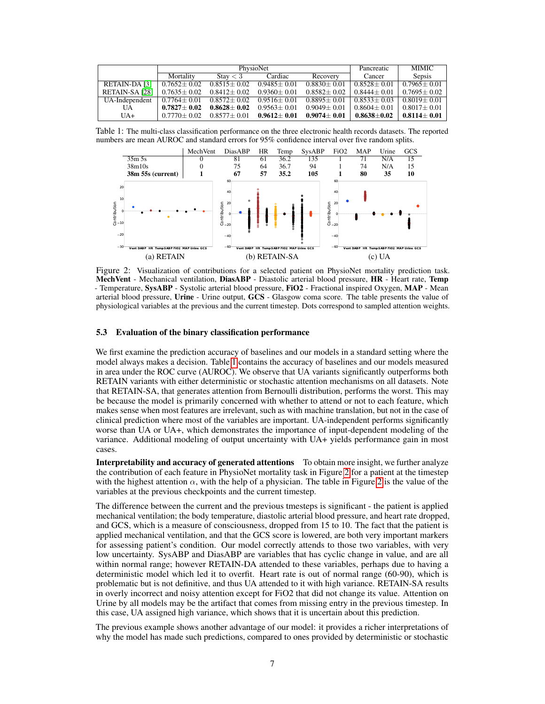|                | PhysioNet         |                   |                   |                   | Pancreatic            | <b>MIMIC</b>      |
|----------------|-------------------|-------------------|-------------------|-------------------|-----------------------|-------------------|
|                | Mortality         | Stay $<$ 3        | Cardiac           | Recovery          | Cancer                | Sepsis            |
| RETAIN-DA [3]  | $0.7652 \pm 0.02$ | $0.8515 + 0.02$   | $0.9485 + 0.01$   | $0.8830 \pm 0.01$ | $0.8528 + 0.01$       | $0.7965 + 0.01$   |
| RETAIN-SA [28] | $0.7635 \pm 0.02$ | $0.8412 \pm 0.02$ | $0.9360 \pm 0.01$ | $0.8582 + 0.02$   | $0.8444 \pm 0.01$     | $0.7695 + 0.02$   |
| UA-Independent | $0.7764 \pm 0.01$ | $0.8572 + 0.02$   | $0.9516 \pm 0.01$ | $0.8895 \pm 0.01$ | $0.8533 + 0.03$       | $0.8019 + 0.01$   |
| UA             | $0.7827 + 0.02$   | $0.8628 + 0.02$   | $0.9563 + 0.01$   | $0.9049 \pm 0.01$ | $0.8604 \pm 0.01$     | $0.8017 + 0.01$   |
| $UA+$          | $0.7770 + 0.02$   | $0.8577 \pm 0.01$ | $0.9612 \pm 0.01$ | $0.9074 \pm 0.01$ | $0.8638 \!\pm\! 0.02$ | $0.8114 \pm 0.01$ |

Table 1: The multi-class classification performance on the three electronic health records datasets. The reported numbers are mean AUROC and standard errors for 95% confidence interval over five random splits.

<span id="page-6-0"></span>

<span id="page-6-1"></span>Figure 2: Visualization of contributions for a selected patient on PhysioNet mortality prediction task. MechVent - Mechanical ventilation, DiasABP - Diastolic arterial blood pressure, HR - Heart rate, Temp - Temperature, SysABP - Systolic arterial blood pressure, FiO2 - Fractional inspired Oxygen, MAP - Mean arterial blood pressure, Urine - Urine output, GCS - Glasgow coma score. The table presents the value of physiological variables at the previous and the current timestep. Dots correspond to sampled attention weights.

#### 5.3 Evaluation of the binary classification performance

We first examine the prediction accuracy of baselines and our models in a standard setting where the model always makes a decision. Table [1](#page-6-0) contains the accuracy of baselines and our models measured in area under the ROC curve (AUROC). We observe that UA variants significantly outperforms both RETAIN variants with either deterministic or stochastic attention mechanisms on all datasets. Note that RETAIN-SA, that generates attention from Bernoulli distribution, performs the worst. This may be because the model is primarily concerned with whether to attend or not to each feature, which makes sense when most features are irrelevant, such as with machine translation, but not in the case of clinical prediction where most of the variables are important. UA-independent performs significantly worse than UA or UA+, which demonstrates the importance of input-dependent modeling of the variance. Additional modeling of output uncertainty with UA+ yields performance gain in most cases.

Interpretability and accuracy of generated attentions To obtain more insight, we further analyze the contribution of each feature in PhysioNet mortality task in Figure [2](#page-6-1) for a patient at the timestep with the highest attention  $\alpha$ , with the help of a physician. The table in Figure [2](#page-6-1) is the value of the variables at the previous checkpoints and the current timestep.

The difference between the current and the previous tmesteps is significant - the patient is applied mechanical ventilation; the body temperature, diastolic arterial blood pressure, and heart rate dropped, and GCS, which is a measure of consciousness, dropped from 15 to 10. The fact that the patient is applied mechanical ventilation, and that the GCS score is lowered, are both very important markers for assessing patient's condition. Our model correctly attends to those two variables, with very low uncertainty. SysABP and DiasABP are variables that has cyclic change in value, and are all within normal range; however RETAIN-DA attended to these variables, perhaps due to having a deterministic model which led it to overfit. Heart rate is out of normal range (60-90), which is problematic but is not definitive, and thus UA attended to it with high variance. RETAIN-SA results in overly incorrect and noisy attention except for FiO2 that did not change its value. Attention on Urine by all models may be the artifact that comes from missing entry in the previous timestep. In this case, UA assigned high variance, which shows that it is uncertain about this prediction.

The previous example shows another advantage of our model: it provides a richer interpretations of why the model has made such predictions, compared to ones provided by deterministic or stochastic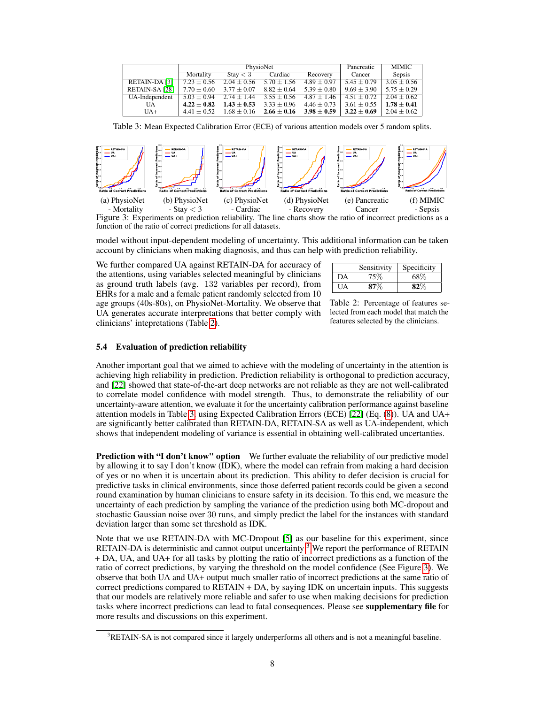|                | PhysioNet                                  |                 |                                                 | Pancreatic                      | <b>MIMIC</b>    |                 |
|----------------|--------------------------------------------|-----------------|-------------------------------------------------|---------------------------------|-----------------|-----------------|
|                | Mortality                                  | Stay $<$ 3      | Cardiac                                         | Recovery                        | Cancer          | Sepsis          |
| RETAIN-DA [3]  | $7.23 \pm 0.56$                            |                 | $2.04 \pm 0.56$ 5.70 $\pm$ 1.56 4.89 $\pm$ 0.97 |                                 | $5.45 \pm 0.79$ | $3.05 \pm 0.56$ |
| RETAIN-SA [28] | $7.70 \pm 0.60$                            | $3.77 \pm 0.07$ | $8.82 \pm 0.64$                                 | $5.39 \pm 0.80$                 | $9.69 \pm 3.90$ | $5.75 \pm 0.29$ |
| UA-Independent | $\overline{5.03 \pm 0.94}$ 2.74 $\pm$ 1.44 |                 |                                                 | $3.55 \pm 0.56$ $4.87 \pm 1.46$ | $4.51 \pm 0.72$ | $2.04 + 0.62$   |
| UA             | $4.22 \pm 0.82$                            | $1.43 \pm 0.53$ | $3.33 \pm 0.96$                                 | $4.46 \pm 0.73$                 | $3.61 \pm 0.55$ | $1.78\pm0.41$   |
| $UA+$          | $4.41 + 0.52$                              |                 | $1.68 \pm 0.16$ $2.66 \pm 0.16$                 | $3.98 \pm 0.59$                 | $3.22 \pm 0.69$ | $2.04 \pm 0.62$ |

<span id="page-7-1"></span>Table 3: Mean Expected Calibration Error (ECE) of various attention models over 5 random splits.



<span id="page-7-3"></span>function of the ratio of correct predictions for all datasets.

model without input-dependent modeling of uncertainty. This additional information can be taken account by clinicians when making diagnosis, and thus can help with prediction reliability.

We further compared UA against RETAIN-DA for accuracy of the attentions, using variables selected meaningful by clinicians as ground truth labels (avg. 132 variables per record), from EHRs for a male and a female patient randomly selected from 10 age groups (40s-80s), on PhysioNet-Mortality. We observe that UA generates accurate interpretations that better comply with clinicians' intepretations (Table [2\)](#page-7-0).

|     | Sensitivity | Specificity |
|-----|-------------|-------------|
| DA  | 75%         | 68%         |
| UA. | 87%         |             |

<span id="page-7-0"></span>Table 2: Percentage of features selected from each model that match the features selected by the clinicians.

#### 5.4 Evaluation of prediction reliability

Another important goal that we aimed to achieve with the modeling of uncertainty in the attention is achieving high reliability in prediction. Prediction reliability is orthogonal to prediction accuracy, and [\[22\]](#page-9-3) showed that state-of-the-art deep networks are not reliable as they are not well-calibrated to correlate model confidence with model strength. Thus, to demonstrate the reliability of our uncertainty-aware attention, we evaluate it for the uncertainty calibration performance against baseline attention models in Table [3,](#page-7-1) using Expected Calibration Errors (ECE) [\[22\]](#page-9-3) (Eq. [\(8\)](#page-4-0)). UA and UA+ are significantly better calibrated than RETAIN-DA, RETAIN-SA as well as UA-independent, which shows that independent modeling of variance is essential in obtaining well-calibrated uncertanties.

**Prediction with "I don't know" option** We further evaluate the reliability of our predictive model by allowing it to say I don't know (IDK), where the model can refrain from making a hard decision of yes or no when it is uncertain about its prediction. This ability to defer decision is crucial for predictive tasks in clinical environments, since those deferred patient records could be given a second round examination by human clinicians to ensure safety in its decision. To this end, we measure the uncertainty of each prediction by sampling the variance of the prediction using both MC-dropout and stochastic Gaussian noise over 30 runs, and simply predict the label for the instances with standard deviation larger than some set threshold as IDK.

Note that we use RETAIN-DA with MC-Dropout [\[5\]](#page-8-7) as our baseline for this experiment, since RETAIN-DA is deterministic and cannot output uncertainty <sup>[3](#page-7-2)</sup> We report the performance of RETAIN + DA, UA, and UA+ for all tasks by plotting the ratio of incorrect predictions as a function of the ratio of correct predictions, by varying the threshold on the model confidence (See Figure [3\)](#page-7-3). We observe that both UA and UA+ output much smaller ratio of incorrect predictions at the same ratio of correct predictions compared to RETAIN + DA, by saying IDK on uncertain inputs. This suggests that our models are relatively more reliable and safer to use when making decisions for prediction tasks where incorrect predictions can lead to fatal consequences. Please see supplementary file for more results and discussions on this experiment.

<span id="page-7-2"></span><sup>&</sup>lt;sup>3</sup>RETAIN-SA is not compared since it largely underperforms all others and is not a meaningful baseline.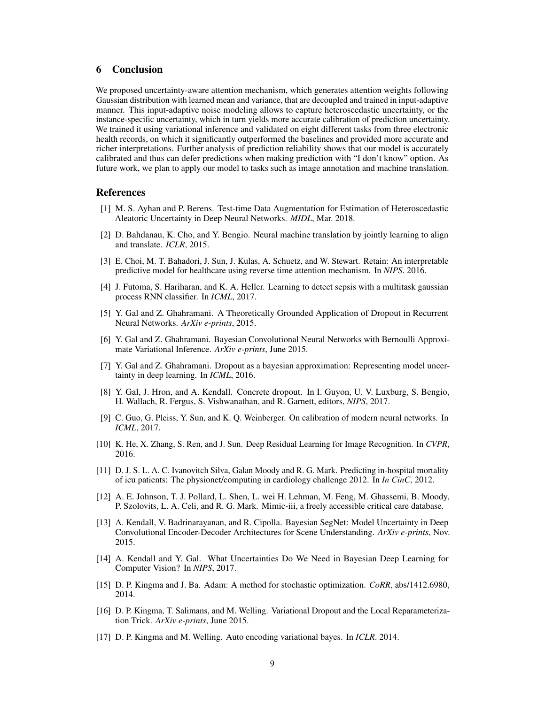# 6 Conclusion

We proposed uncertainty-aware attention mechanism, which generates attention weights following Gaussian distribution with learned mean and variance, that are decoupled and trained in input-adaptive manner. This input-adaptive noise modeling allows to capture heteroscedastic uncertainty, or the instance-specific uncertainty, which in turn yields more accurate calibration of prediction uncertainty. We trained it using variational inference and validated on eight different tasks from three electronic health records, on which it significantly outperformed the baselines and provided more accurate and richer interpretations. Further analysis of prediction reliability shows that our model is accurately calibrated and thus can defer predictions when making prediction with "I don't know" option. As future work, we plan to apply our model to tasks such as image annotation and machine translation.

## References

- <span id="page-8-13"></span>[1] M. S. Ayhan and P. Berens. Test-time Data Augmentation for Estimation of Heteroscedastic Aleatoric Uncertainty in Deep Neural Networks. *MIDL*, Mar. 2018.
- <span id="page-8-1"></span>[2] D. Bahdanau, K. Cho, and Y. Bengio. Neural machine translation by jointly learning to align and translate. *ICLR*, 2015.
- <span id="page-8-2"></span>[3] E. Choi, M. T. Bahadori, J. Sun, J. Kulas, A. Schuetz, and W. Stewart. Retain: An interpretable predictive model for healthcare using reverse time attention mechanism. In *NIPS*. 2016.
- <span id="page-8-3"></span>[4] J. Futoma, S. Hariharan, and K. A. Heller. Learning to detect sepsis with a multitask gaussian process RNN classifier. In *ICML*, 2017.
- <span id="page-8-7"></span>[5] Y. Gal and Z. Ghahramani. A Theoretically Grounded Application of Dropout in Recurrent Neural Networks. *ArXiv e-prints*, 2015.
- <span id="page-8-8"></span>[6] Y. Gal and Z. Ghahramani. Bayesian Convolutional Neural Networks with Bernoulli Approximate Variational Inference. *ArXiv e-prints*, June 2015.
- <span id="page-8-9"></span>[7] Y. Gal and Z. Ghahramani. Dropout as a bayesian approximation: Representing model uncertainty in deep learning. In *ICML*, 2016.
- <span id="page-8-10"></span>[8] Y. Gal, J. Hron, and A. Kendall. Concrete dropout. In I. Guyon, U. V. Luxburg, S. Bengio, H. Wallach, R. Fergus, S. Vishwanathan, and R. Garnett, editors, *NIPS*, 2017.
- <span id="page-8-4"></span>[9] C. Guo, G. Pleiss, Y. Sun, and K. Q. Weinberger. On calibration of modern neural networks. In *ICML*, 2017.
- <span id="page-8-0"></span>[10] K. He, X. Zhang, S. Ren, and J. Sun. Deep Residual Learning for Image Recognition. In *CVPR*, 2016.
- <span id="page-8-14"></span>[11] D. J. S. L. A. C. Ivanovitch Silva, Galan Moody and R. G. Mark. Predicting in-hospital mortality of icu patients: The physionet/computing in cardiology challenge 2012. In *In CinC*, 2012.
- <span id="page-8-15"></span>[12] A. E. Johnson, T. J. Pollard, L. Shen, L. wei H. Lehman, M. Feng, M. Ghassemi, B. Moody, P. Szolovits, L. A. Celi, and R. G. Mark. Mimic-iii, a freely accessible critical care database.
- <span id="page-8-6"></span>[13] A. Kendall, V. Badrinarayanan, and R. Cipolla. Bayesian SegNet: Model Uncertainty in Deep Convolutional Encoder-Decoder Architectures for Scene Understanding. *ArXiv e-prints*, Nov. 2015.
- <span id="page-8-5"></span>[14] A. Kendall and Y. Gal. What Uncertainties Do We Need in Bayesian Deep Learning for Computer Vision? In *NIPS*, 2017.
- <span id="page-8-16"></span>[15] D. P. Kingma and J. Ba. Adam: A method for stochastic optimization. *CoRR*, abs/1412.6980, 2014.
- <span id="page-8-11"></span>[16] D. P. Kingma, T. Salimans, and M. Welling. Variational Dropout and the Local Reparameterization Trick. *ArXiv e-prints*, June 2015.
- <span id="page-8-12"></span>[17] D. P. Kingma and M. Welling. Auto encoding variational bayes. In *ICLR*. 2014.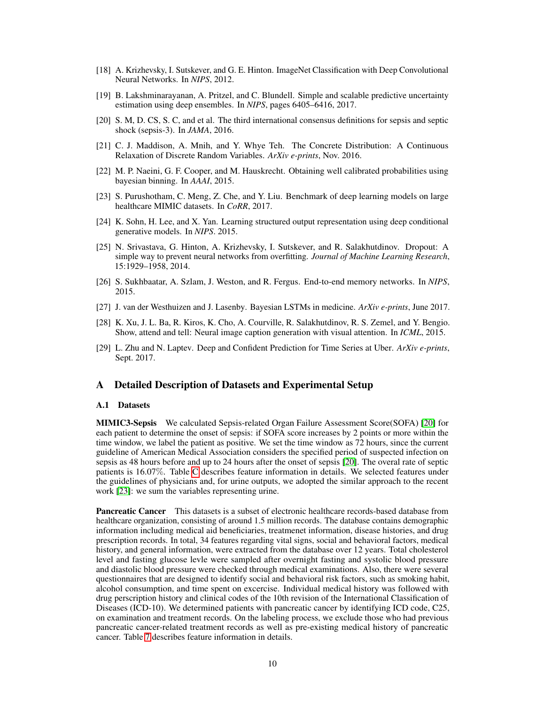- <span id="page-9-0"></span>[18] A. Krizhevsky, I. Sutskever, and G. E. Hinton. ImageNet Classification with Deep Convolutional Neural Networks. In *NIPS*, 2012.
- <span id="page-9-1"></span>[19] B. Lakshminarayanan, A. Pritzel, and C. Blundell. Simple and scalable predictive uncertainty estimation using deep ensembles. In *NIPS*, pages 6405–6416, 2017.
- <span id="page-9-10"></span>[20] S. M, D. CS, S. C, and et al. The third international consensus definitions for sepsis and septic shock (sepsis-3). In *JAMA*, 2016.
- <span id="page-9-6"></span>[21] C. J. Maddison, A. Mnih, and Y. Whye Teh. The Concrete Distribution: A Continuous Relaxation of Discrete Random Variables. *ArXiv e-prints*, Nov. 2016.
- <span id="page-9-3"></span>[22] M. P. Naeini, G. F. Cooper, and M. Hauskrecht. Obtaining well calibrated probabilities using bayesian binning. In *AAAI*, 2015.
- <span id="page-9-11"></span>[23] S. Purushotham, C. Meng, Z. Che, and Y. Liu. Benchmark of deep learning models on large healthcare MIMIC datasets. In *CoRR*, 2017.
- <span id="page-9-8"></span>[24] K. Sohn, H. Lee, and X. Yan. Learning structured output representation using deep conditional generative models. In *NIPS*. 2015.
- <span id="page-9-5"></span>[25] N. Srivastava, G. Hinton, A. Krizhevsky, I. Sutskever, and R. Salakhutdinov. Dropout: A simple way to prevent neural networks from overfitting. *Journal of Machine Learning Research*, 15:1929–1958, 2014.
- <span id="page-9-7"></span>[26] S. Sukhbaatar, A. Szlam, J. Weston, and R. Fergus. End-to-end memory networks. In *NIPS*, 2015.
- <span id="page-9-9"></span>[27] J. van der Westhuizen and J. Lasenby. Bayesian LSTMs in medicine. *ArXiv e-prints*, June 2017.
- <span id="page-9-2"></span>[28] K. Xu, J. L. Ba, R. Kiros, K. Cho, A. Courville, R. Salakhutdinov, R. S. Zemel, and Y. Bengio. Show, attend and tell: Neural image caption generation with visual attention. In *ICML*, 2015.
- <span id="page-9-4"></span>[29] L. Zhu and N. Laptev. Deep and Confident Prediction for Time Series at Uber. *ArXiv e-prints*, Sept. 2017.

### A Detailed Description of Datasets and Experimental Setup

#### A.1 Datasets

MIMIC3-Sepsis We calculated Sepsis-related Organ Failure Assessment Score(SOFA) [\[20\]](#page-9-10) for each patient to determine the onset of sepsis: if SOFA score increases by 2 points or more within the time window, we label the patient as positive. We set the time window as 72 hours, since the current guideline of American Medical Association considers the specified period of suspected infection on sepsis as 48 hours before and up to 24 hours after the onset of sepsis [\[20\]](#page-9-10). The overal rate of septic patients is 16.07%. Table [C](#page-11-0) describes feature information in details. We selected features under the guidelines of physicians and, for urine outputs, we adopted the similar approach to the recent work [\[23\]](#page-9-11): we sum the variables representing urine.

**Pancreatic Cancer** This datasets is a subset of electronic healthcare records-based database from healthcare organization, consisting of around 1.5 million records. The database contains demographic information including medical aid beneficiaries, treatmenet information, disease histories, and drug prescription records. In total, 34 features regarding vital signs, social and behavioral factors, medical history, and general information, were extracted from the database over 12 years. Total cholesterol level and fasting glucose levle were sampled after overnight fasting and systolic blood pressure and diastolic blood pressure were checked through medical examinations. Also, there were several questionnaires that are designed to identify social and behavioral risk factors, such as smoking habit, alcohol consumption, and time spent on excercise. Individual medical history was followed with drug perscription history and clinical codes of the 10th revision of the International Classification of Diseases (ICD-10). We determined patients with pancreatic cancer by identifying ICD code, C25, on examination and treatment records. On the labeling process, we exclude those who had previous pancreatic cancer-related treatment records as well as pre-existing medical history of pancreatic cancer. Table [7](#page-13-0) describes feature information in details.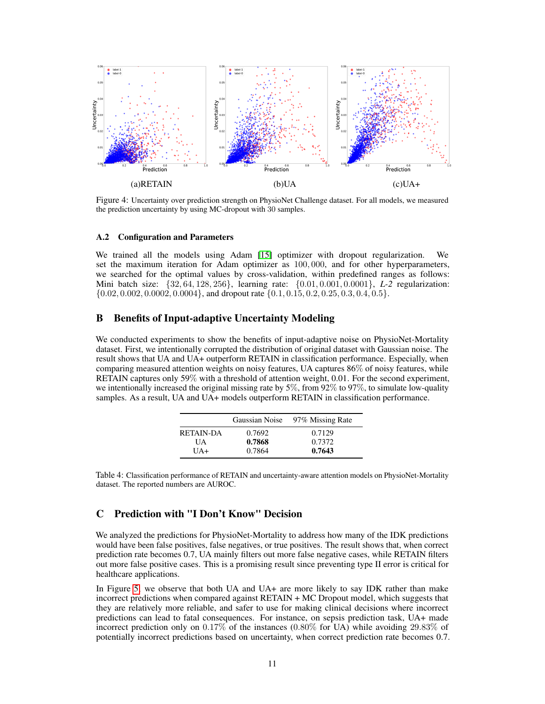

Figure 4: Uncertainty over prediction strength on PhysioNet Challenge dataset. For all models, we measured the prediction uncertainty by using MC-dropout with 30 samples.

#### A.2 Configuration and Parameters

We trained all the models using Adam [\[15\]](#page-8-16) optimizer with dropout regularization. We set the maximum iteration for Adam optimizer as 100, 000, and for other hyperparameters, we searched for the optimal values by cross-validation, within predefined ranges as follows: Mini batch size: {32, 64, 128, 256}, learning rate: {0.01, 0.001, 0.0001}, *L-2* regularization:  $\{0.02, 0.002, 0.0002, 0.0004\}$ , and dropout rate  $\{0.1, 0.15, 0.2, 0.25, 0.3, 0.4, 0.5\}$ .

## B Benefits of Input-adaptive Uncertainty Modeling

We conducted experiments to show the benefits of input-adaptive noise on PhysioNet-Mortality dataset. First, we intentionally corrupted the distribution of original dataset with Gaussian noise. The result shows that UA and UA+ outperform RETAIN in classification performance. Especially, when comparing measured attention weights on noisy features, UA captures 86% of noisy features, while RETAIN captures only 59% with a threshold of attention weight, 0.01. For the second experiment, we intentionally increased the original missing rate by 5%, from 92% to 97%, to simulate low-quality samples. As a result, UA and UA+ models outperform RETAIN in classification performance.

|                  | Gaussian Noise | 97% Missing Rate |
|------------------|----------------|------------------|
| <b>RETAIN-DA</b> | 0.7692         | 0.7129           |
| UА               | 0.7868         | 0.7372           |
| $\overline{I}A+$ | 0.7864         | 0.7643           |

Table 4: Classification performance of RETAIN and uncertainty-aware attention models on PhysioNet-Mortality dataset. The reported numbers are AUROC.

# C Prediction with "I Don't Know" Decision

We analyzed the predictions for PhysioNet-Mortality to address how many of the IDK predictions would have been false positives, false negatives, or true positives. The result shows that, when correct prediction rate becomes 0.7, UA mainly filters out more false negative cases, while RETAIN filters out more false positive cases. This is a promising result since preventing type II error is critical for healthcare applications.

In Figure [5,](#page-11-0) we observe that both UA and UA+ are more likely to say IDK rather than make incorrect predictions when compared against RETAIN + MC Dropout model, which suggests that they are relatively more reliable, and safer to use for making clinical decisions where incorrect predictions can lead to fatal consequences. For instance, on sepsis prediction task, UA+ made incorrect prediction only on 0.17% of the instances (0.80% for UA) while avoiding 29.83% of potentially incorrect predictions based on uncertainty, when correct prediction rate becomes 0.7.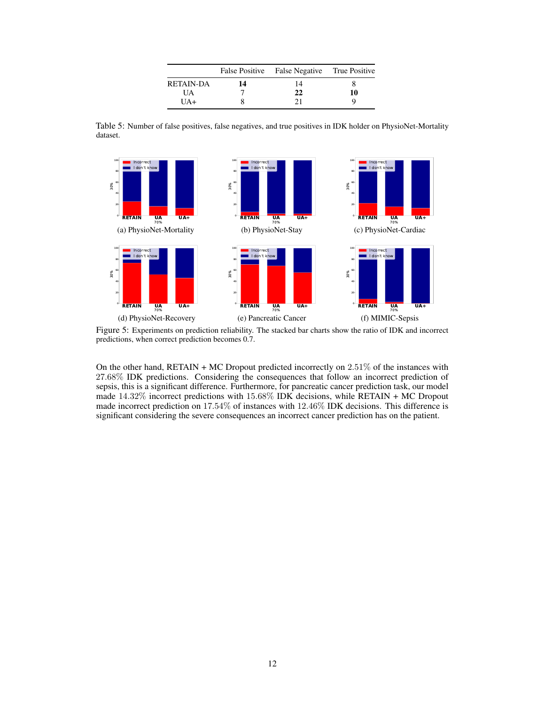|                  |    | False Positive False Negative True Positive |    |
|------------------|----|---------------------------------------------|----|
| <b>RETAIN-DA</b> | 14 | 14                                          |    |
| UA               |    | 22                                          | 10 |
| $IJA+$           |    |                                             |    |

Table 5: Number of false positives, false negatives, and true positives in IDK holder on PhysioNet-Mortality dataset.



<span id="page-11-0"></span>Figure 5: Experiments on prediction reliability. The stacked bar charts show the ratio of IDK and incorrect predictions, when correct prediction becomes 0.7.

On the other hand, RETAIN + MC Dropout predicted incorrectly on  $2.51\%$  of the instances with 27.68% IDK predictions. Considering the consequences that follow an incorrect prediction of sepsis, this is a significant difference. Furthermore, for pancreatic cancer prediction task, our model made 14.32% incorrect predictions with 15.68% IDK decisions, while RETAIN + MC Dropout made incorrect prediction on 17.54% of instances with 12.46% IDK decisions. This difference is significant considering the severe consequences an incorrect cancer prediction has on the patient.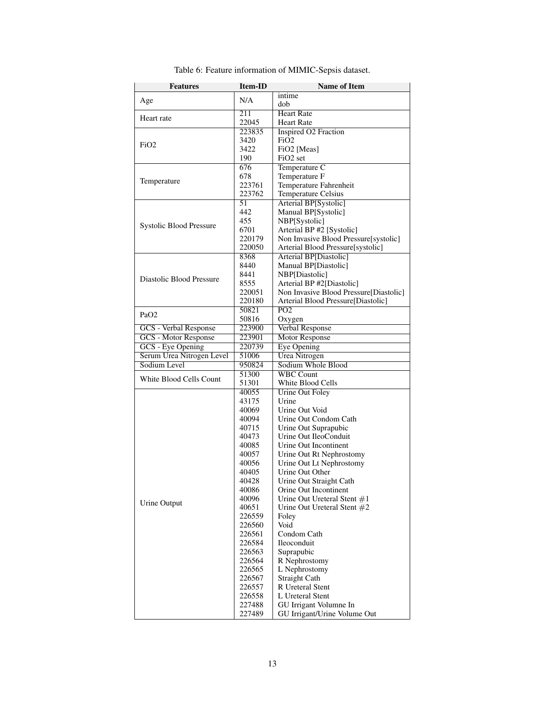| intime<br>N/A<br>Age<br>dob<br>211<br><b>Heart Rate</b><br>Heart rate<br>22045<br><b>Heart Rate</b><br>223835<br><b>Inspired O2 Fraction</b><br>3420<br>FiO <sub>2</sub><br>FiO <sub>2</sub><br>3422<br>FiO <sub>2</sub> [Meas]<br>190<br>FiO <sub>2</sub> set<br>676<br>Temperature C<br>678<br>Temperature F<br>Temperature<br>223761<br>Temperature Fahrenheit<br>223762<br><b>Temperature Celsius</b><br>Arterial BP[Systolic]<br>51<br>442<br>Manual BP[Systolic]<br>455<br>NBP[Systolic]<br>Systolic Blood Pressure<br>Arterial BP #2 [Systolic]<br>6701<br>Non Invasive Blood Pressure[systolic]<br>220179<br>220050<br>Arterial Blood Pressure[systolic]<br><b>Arterial BP[Diastolic]</b><br>8368<br>8440<br>Manual BP[Diastolic]<br>NBP[Diastolic]<br>8441<br>Diastolic Blood Pressure<br>Arterial BP #2[Diastolic]<br>8555<br>Non Invasive Blood Pressure[Diastolic]<br>220051<br>Arterial Blood Pressure[Diastolic]<br>220180<br>$\overline{PO2}$<br>50821<br>PaO <sub>2</sub><br>Oxygen<br>50816<br>Verbal Response<br><b>GCS</b> - Verbal Response<br>223900<br><b>GCS</b> - Motor Response<br><b>Motor Response</b><br>223901<br>GCS - Eye Opening<br>220739<br><b>Eye Opening</b><br><b>Urea Nitrogen</b><br>Serum Urea Nitrogen Level<br>51006<br>Sodium Level<br>Sodium Whole Blood<br>950824<br><b>WBC Count</b><br>51300<br>White Blood Cells Count<br>White Blood Cells<br>51301<br>Urine Out Foley<br>40055<br>Urine<br>43175<br>Urine Out Void<br>40069<br>Urine Out Condom Cath<br>40094<br>Urine Out Suprapubic<br>40715<br>Urine Out IleoConduit<br>40473<br>40085<br>Urine Out Incontinent<br>40057<br>Urine Out Rt Nephrostomy<br>Urine Out Lt Nephrostomy<br>40056<br>Urine Out Other<br>40405<br>40428<br>Urine Out Straight Cath<br>40086<br>Orine Out Incontinent<br>40096<br>Urine Out Ureteral Stent $#1$<br>Urine Output<br>40651<br>Urine Out Ureteral Stent #2<br>Foley<br>226559<br>Void<br>226560<br>226561<br>Condom Cath<br>226584<br>Ileoconduit<br>226563<br>Suprapubic<br>R Nephrostomy<br>226564<br>226565<br>L Nephrostomy<br>226567<br><b>Straight Cath</b> | <b>Features</b> | Item-ID | <b>Name of Item</b> |
|-----------------------------------------------------------------------------------------------------------------------------------------------------------------------------------------------------------------------------------------------------------------------------------------------------------------------------------------------------------------------------------------------------------------------------------------------------------------------------------------------------------------------------------------------------------------------------------------------------------------------------------------------------------------------------------------------------------------------------------------------------------------------------------------------------------------------------------------------------------------------------------------------------------------------------------------------------------------------------------------------------------------------------------------------------------------------------------------------------------------------------------------------------------------------------------------------------------------------------------------------------------------------------------------------------------------------------------------------------------------------------------------------------------------------------------------------------------------------------------------------------------------------------------------------------------------------------------------------------------------------------------------------------------------------------------------------------------------------------------------------------------------------------------------------------------------------------------------------------------------------------------------------------------------------------------------------------------------------------------------------------------------------------------------------------------------------------------------------------------|-----------------|---------|---------------------|
|                                                                                                                                                                                                                                                                                                                                                                                                                                                                                                                                                                                                                                                                                                                                                                                                                                                                                                                                                                                                                                                                                                                                                                                                                                                                                                                                                                                                                                                                                                                                                                                                                                                                                                                                                                                                                                                                                                                                                                                                                                                                                                           |                 |         |                     |
|                                                                                                                                                                                                                                                                                                                                                                                                                                                                                                                                                                                                                                                                                                                                                                                                                                                                                                                                                                                                                                                                                                                                                                                                                                                                                                                                                                                                                                                                                                                                                                                                                                                                                                                                                                                                                                                                                                                                                                                                                                                                                                           |                 |         |                     |
|                                                                                                                                                                                                                                                                                                                                                                                                                                                                                                                                                                                                                                                                                                                                                                                                                                                                                                                                                                                                                                                                                                                                                                                                                                                                                                                                                                                                                                                                                                                                                                                                                                                                                                                                                                                                                                                                                                                                                                                                                                                                                                           |                 |         |                     |
|                                                                                                                                                                                                                                                                                                                                                                                                                                                                                                                                                                                                                                                                                                                                                                                                                                                                                                                                                                                                                                                                                                                                                                                                                                                                                                                                                                                                                                                                                                                                                                                                                                                                                                                                                                                                                                                                                                                                                                                                                                                                                                           |                 |         |                     |
|                                                                                                                                                                                                                                                                                                                                                                                                                                                                                                                                                                                                                                                                                                                                                                                                                                                                                                                                                                                                                                                                                                                                                                                                                                                                                                                                                                                                                                                                                                                                                                                                                                                                                                                                                                                                                                                                                                                                                                                                                                                                                                           |                 |         |                     |
|                                                                                                                                                                                                                                                                                                                                                                                                                                                                                                                                                                                                                                                                                                                                                                                                                                                                                                                                                                                                                                                                                                                                                                                                                                                                                                                                                                                                                                                                                                                                                                                                                                                                                                                                                                                                                                                                                                                                                                                                                                                                                                           |                 |         |                     |
|                                                                                                                                                                                                                                                                                                                                                                                                                                                                                                                                                                                                                                                                                                                                                                                                                                                                                                                                                                                                                                                                                                                                                                                                                                                                                                                                                                                                                                                                                                                                                                                                                                                                                                                                                                                                                                                                                                                                                                                                                                                                                                           |                 |         |                     |
|                                                                                                                                                                                                                                                                                                                                                                                                                                                                                                                                                                                                                                                                                                                                                                                                                                                                                                                                                                                                                                                                                                                                                                                                                                                                                                                                                                                                                                                                                                                                                                                                                                                                                                                                                                                                                                                                                                                                                                                                                                                                                                           |                 |         |                     |
|                                                                                                                                                                                                                                                                                                                                                                                                                                                                                                                                                                                                                                                                                                                                                                                                                                                                                                                                                                                                                                                                                                                                                                                                                                                                                                                                                                                                                                                                                                                                                                                                                                                                                                                                                                                                                                                                                                                                                                                                                                                                                                           |                 |         |                     |
|                                                                                                                                                                                                                                                                                                                                                                                                                                                                                                                                                                                                                                                                                                                                                                                                                                                                                                                                                                                                                                                                                                                                                                                                                                                                                                                                                                                                                                                                                                                                                                                                                                                                                                                                                                                                                                                                                                                                                                                                                                                                                                           |                 |         |                     |
|                                                                                                                                                                                                                                                                                                                                                                                                                                                                                                                                                                                                                                                                                                                                                                                                                                                                                                                                                                                                                                                                                                                                                                                                                                                                                                                                                                                                                                                                                                                                                                                                                                                                                                                                                                                                                                                                                                                                                                                                                                                                                                           |                 |         |                     |
|                                                                                                                                                                                                                                                                                                                                                                                                                                                                                                                                                                                                                                                                                                                                                                                                                                                                                                                                                                                                                                                                                                                                                                                                                                                                                                                                                                                                                                                                                                                                                                                                                                                                                                                                                                                                                                                                                                                                                                                                                                                                                                           |                 |         |                     |
|                                                                                                                                                                                                                                                                                                                                                                                                                                                                                                                                                                                                                                                                                                                                                                                                                                                                                                                                                                                                                                                                                                                                                                                                                                                                                                                                                                                                                                                                                                                                                                                                                                                                                                                                                                                                                                                                                                                                                                                                                                                                                                           |                 |         |                     |
|                                                                                                                                                                                                                                                                                                                                                                                                                                                                                                                                                                                                                                                                                                                                                                                                                                                                                                                                                                                                                                                                                                                                                                                                                                                                                                                                                                                                                                                                                                                                                                                                                                                                                                                                                                                                                                                                                                                                                                                                                                                                                                           |                 |         |                     |
|                                                                                                                                                                                                                                                                                                                                                                                                                                                                                                                                                                                                                                                                                                                                                                                                                                                                                                                                                                                                                                                                                                                                                                                                                                                                                                                                                                                                                                                                                                                                                                                                                                                                                                                                                                                                                                                                                                                                                                                                                                                                                                           |                 |         |                     |
|                                                                                                                                                                                                                                                                                                                                                                                                                                                                                                                                                                                                                                                                                                                                                                                                                                                                                                                                                                                                                                                                                                                                                                                                                                                                                                                                                                                                                                                                                                                                                                                                                                                                                                                                                                                                                                                                                                                                                                                                                                                                                                           |                 |         |                     |
|                                                                                                                                                                                                                                                                                                                                                                                                                                                                                                                                                                                                                                                                                                                                                                                                                                                                                                                                                                                                                                                                                                                                                                                                                                                                                                                                                                                                                                                                                                                                                                                                                                                                                                                                                                                                                                                                                                                                                                                                                                                                                                           |                 |         |                     |
|                                                                                                                                                                                                                                                                                                                                                                                                                                                                                                                                                                                                                                                                                                                                                                                                                                                                                                                                                                                                                                                                                                                                                                                                                                                                                                                                                                                                                                                                                                                                                                                                                                                                                                                                                                                                                                                                                                                                                                                                                                                                                                           |                 |         |                     |
|                                                                                                                                                                                                                                                                                                                                                                                                                                                                                                                                                                                                                                                                                                                                                                                                                                                                                                                                                                                                                                                                                                                                                                                                                                                                                                                                                                                                                                                                                                                                                                                                                                                                                                                                                                                                                                                                                                                                                                                                                                                                                                           |                 |         |                     |
|                                                                                                                                                                                                                                                                                                                                                                                                                                                                                                                                                                                                                                                                                                                                                                                                                                                                                                                                                                                                                                                                                                                                                                                                                                                                                                                                                                                                                                                                                                                                                                                                                                                                                                                                                                                                                                                                                                                                                                                                                                                                                                           |                 |         |                     |
|                                                                                                                                                                                                                                                                                                                                                                                                                                                                                                                                                                                                                                                                                                                                                                                                                                                                                                                                                                                                                                                                                                                                                                                                                                                                                                                                                                                                                                                                                                                                                                                                                                                                                                                                                                                                                                                                                                                                                                                                                                                                                                           |                 |         |                     |
|                                                                                                                                                                                                                                                                                                                                                                                                                                                                                                                                                                                                                                                                                                                                                                                                                                                                                                                                                                                                                                                                                                                                                                                                                                                                                                                                                                                                                                                                                                                                                                                                                                                                                                                                                                                                                                                                                                                                                                                                                                                                                                           |                 |         |                     |
|                                                                                                                                                                                                                                                                                                                                                                                                                                                                                                                                                                                                                                                                                                                                                                                                                                                                                                                                                                                                                                                                                                                                                                                                                                                                                                                                                                                                                                                                                                                                                                                                                                                                                                                                                                                                                                                                                                                                                                                                                                                                                                           |                 |         |                     |
|                                                                                                                                                                                                                                                                                                                                                                                                                                                                                                                                                                                                                                                                                                                                                                                                                                                                                                                                                                                                                                                                                                                                                                                                                                                                                                                                                                                                                                                                                                                                                                                                                                                                                                                                                                                                                                                                                                                                                                                                                                                                                                           |                 |         |                     |
|                                                                                                                                                                                                                                                                                                                                                                                                                                                                                                                                                                                                                                                                                                                                                                                                                                                                                                                                                                                                                                                                                                                                                                                                                                                                                                                                                                                                                                                                                                                                                                                                                                                                                                                                                                                                                                                                                                                                                                                                                                                                                                           |                 |         |                     |
|                                                                                                                                                                                                                                                                                                                                                                                                                                                                                                                                                                                                                                                                                                                                                                                                                                                                                                                                                                                                                                                                                                                                                                                                                                                                                                                                                                                                                                                                                                                                                                                                                                                                                                                                                                                                                                                                                                                                                                                                                                                                                                           |                 |         |                     |
|                                                                                                                                                                                                                                                                                                                                                                                                                                                                                                                                                                                                                                                                                                                                                                                                                                                                                                                                                                                                                                                                                                                                                                                                                                                                                                                                                                                                                                                                                                                                                                                                                                                                                                                                                                                                                                                                                                                                                                                                                                                                                                           |                 |         |                     |
|                                                                                                                                                                                                                                                                                                                                                                                                                                                                                                                                                                                                                                                                                                                                                                                                                                                                                                                                                                                                                                                                                                                                                                                                                                                                                                                                                                                                                                                                                                                                                                                                                                                                                                                                                                                                                                                                                                                                                                                                                                                                                                           |                 |         |                     |
|                                                                                                                                                                                                                                                                                                                                                                                                                                                                                                                                                                                                                                                                                                                                                                                                                                                                                                                                                                                                                                                                                                                                                                                                                                                                                                                                                                                                                                                                                                                                                                                                                                                                                                                                                                                                                                                                                                                                                                                                                                                                                                           |                 |         |                     |
|                                                                                                                                                                                                                                                                                                                                                                                                                                                                                                                                                                                                                                                                                                                                                                                                                                                                                                                                                                                                                                                                                                                                                                                                                                                                                                                                                                                                                                                                                                                                                                                                                                                                                                                                                                                                                                                                                                                                                                                                                                                                                                           |                 |         |                     |
|                                                                                                                                                                                                                                                                                                                                                                                                                                                                                                                                                                                                                                                                                                                                                                                                                                                                                                                                                                                                                                                                                                                                                                                                                                                                                                                                                                                                                                                                                                                                                                                                                                                                                                                                                                                                                                                                                                                                                                                                                                                                                                           |                 |         |                     |
|                                                                                                                                                                                                                                                                                                                                                                                                                                                                                                                                                                                                                                                                                                                                                                                                                                                                                                                                                                                                                                                                                                                                                                                                                                                                                                                                                                                                                                                                                                                                                                                                                                                                                                                                                                                                                                                                                                                                                                                                                                                                                                           |                 |         |                     |
|                                                                                                                                                                                                                                                                                                                                                                                                                                                                                                                                                                                                                                                                                                                                                                                                                                                                                                                                                                                                                                                                                                                                                                                                                                                                                                                                                                                                                                                                                                                                                                                                                                                                                                                                                                                                                                                                                                                                                                                                                                                                                                           |                 |         |                     |
|                                                                                                                                                                                                                                                                                                                                                                                                                                                                                                                                                                                                                                                                                                                                                                                                                                                                                                                                                                                                                                                                                                                                                                                                                                                                                                                                                                                                                                                                                                                                                                                                                                                                                                                                                                                                                                                                                                                                                                                                                                                                                                           |                 |         |                     |
|                                                                                                                                                                                                                                                                                                                                                                                                                                                                                                                                                                                                                                                                                                                                                                                                                                                                                                                                                                                                                                                                                                                                                                                                                                                                                                                                                                                                                                                                                                                                                                                                                                                                                                                                                                                                                                                                                                                                                                                                                                                                                                           |                 |         |                     |
|                                                                                                                                                                                                                                                                                                                                                                                                                                                                                                                                                                                                                                                                                                                                                                                                                                                                                                                                                                                                                                                                                                                                                                                                                                                                                                                                                                                                                                                                                                                                                                                                                                                                                                                                                                                                                                                                                                                                                                                                                                                                                                           |                 |         |                     |
|                                                                                                                                                                                                                                                                                                                                                                                                                                                                                                                                                                                                                                                                                                                                                                                                                                                                                                                                                                                                                                                                                                                                                                                                                                                                                                                                                                                                                                                                                                                                                                                                                                                                                                                                                                                                                                                                                                                                                                                                                                                                                                           |                 |         |                     |
|                                                                                                                                                                                                                                                                                                                                                                                                                                                                                                                                                                                                                                                                                                                                                                                                                                                                                                                                                                                                                                                                                                                                                                                                                                                                                                                                                                                                                                                                                                                                                                                                                                                                                                                                                                                                                                                                                                                                                                                                                                                                                                           |                 |         |                     |
|                                                                                                                                                                                                                                                                                                                                                                                                                                                                                                                                                                                                                                                                                                                                                                                                                                                                                                                                                                                                                                                                                                                                                                                                                                                                                                                                                                                                                                                                                                                                                                                                                                                                                                                                                                                                                                                                                                                                                                                                                                                                                                           |                 |         |                     |
|                                                                                                                                                                                                                                                                                                                                                                                                                                                                                                                                                                                                                                                                                                                                                                                                                                                                                                                                                                                                                                                                                                                                                                                                                                                                                                                                                                                                                                                                                                                                                                                                                                                                                                                                                                                                                                                                                                                                                                                                                                                                                                           |                 |         |                     |
|                                                                                                                                                                                                                                                                                                                                                                                                                                                                                                                                                                                                                                                                                                                                                                                                                                                                                                                                                                                                                                                                                                                                                                                                                                                                                                                                                                                                                                                                                                                                                                                                                                                                                                                                                                                                                                                                                                                                                                                                                                                                                                           |                 |         |                     |
|                                                                                                                                                                                                                                                                                                                                                                                                                                                                                                                                                                                                                                                                                                                                                                                                                                                                                                                                                                                                                                                                                                                                                                                                                                                                                                                                                                                                                                                                                                                                                                                                                                                                                                                                                                                                                                                                                                                                                                                                                                                                                                           |                 |         |                     |
|                                                                                                                                                                                                                                                                                                                                                                                                                                                                                                                                                                                                                                                                                                                                                                                                                                                                                                                                                                                                                                                                                                                                                                                                                                                                                                                                                                                                                                                                                                                                                                                                                                                                                                                                                                                                                                                                                                                                                                                                                                                                                                           |                 |         |                     |
|                                                                                                                                                                                                                                                                                                                                                                                                                                                                                                                                                                                                                                                                                                                                                                                                                                                                                                                                                                                                                                                                                                                                                                                                                                                                                                                                                                                                                                                                                                                                                                                                                                                                                                                                                                                                                                                                                                                                                                                                                                                                                                           |                 |         |                     |
|                                                                                                                                                                                                                                                                                                                                                                                                                                                                                                                                                                                                                                                                                                                                                                                                                                                                                                                                                                                                                                                                                                                                                                                                                                                                                                                                                                                                                                                                                                                                                                                                                                                                                                                                                                                                                                                                                                                                                                                                                                                                                                           |                 |         |                     |
|                                                                                                                                                                                                                                                                                                                                                                                                                                                                                                                                                                                                                                                                                                                                                                                                                                                                                                                                                                                                                                                                                                                                                                                                                                                                                                                                                                                                                                                                                                                                                                                                                                                                                                                                                                                                                                                                                                                                                                                                                                                                                                           |                 |         |                     |
|                                                                                                                                                                                                                                                                                                                                                                                                                                                                                                                                                                                                                                                                                                                                                                                                                                                                                                                                                                                                                                                                                                                                                                                                                                                                                                                                                                                                                                                                                                                                                                                                                                                                                                                                                                                                                                                                                                                                                                                                                                                                                                           |                 |         |                     |
|                                                                                                                                                                                                                                                                                                                                                                                                                                                                                                                                                                                                                                                                                                                                                                                                                                                                                                                                                                                                                                                                                                                                                                                                                                                                                                                                                                                                                                                                                                                                                                                                                                                                                                                                                                                                                                                                                                                                                                                                                                                                                                           |                 |         |                     |
|                                                                                                                                                                                                                                                                                                                                                                                                                                                                                                                                                                                                                                                                                                                                                                                                                                                                                                                                                                                                                                                                                                                                                                                                                                                                                                                                                                                                                                                                                                                                                                                                                                                                                                                                                                                                                                                                                                                                                                                                                                                                                                           |                 |         |                     |
|                                                                                                                                                                                                                                                                                                                                                                                                                                                                                                                                                                                                                                                                                                                                                                                                                                                                                                                                                                                                                                                                                                                                                                                                                                                                                                                                                                                                                                                                                                                                                                                                                                                                                                                                                                                                                                                                                                                                                                                                                                                                                                           |                 |         |                     |
|                                                                                                                                                                                                                                                                                                                                                                                                                                                                                                                                                                                                                                                                                                                                                                                                                                                                                                                                                                                                                                                                                                                                                                                                                                                                                                                                                                                                                                                                                                                                                                                                                                                                                                                                                                                                                                                                                                                                                                                                                                                                                                           |                 |         |                     |
|                                                                                                                                                                                                                                                                                                                                                                                                                                                                                                                                                                                                                                                                                                                                                                                                                                                                                                                                                                                                                                                                                                                                                                                                                                                                                                                                                                                                                                                                                                                                                                                                                                                                                                                                                                                                                                                                                                                                                                                                                                                                                                           |                 |         |                     |
| R Ureteral Stent<br>226557                                                                                                                                                                                                                                                                                                                                                                                                                                                                                                                                                                                                                                                                                                                                                                                                                                                                                                                                                                                                                                                                                                                                                                                                                                                                                                                                                                                                                                                                                                                                                                                                                                                                                                                                                                                                                                                                                                                                                                                                                                                                                |                 |         |                     |
| 226558<br>L Ureteral Stent                                                                                                                                                                                                                                                                                                                                                                                                                                                                                                                                                                                                                                                                                                                                                                                                                                                                                                                                                                                                                                                                                                                                                                                                                                                                                                                                                                                                                                                                                                                                                                                                                                                                                                                                                                                                                                                                                                                                                                                                                                                                                |                 |         |                     |
| 227488<br>GU Irrigant Volumne In                                                                                                                                                                                                                                                                                                                                                                                                                                                                                                                                                                                                                                                                                                                                                                                                                                                                                                                                                                                                                                                                                                                                                                                                                                                                                                                                                                                                                                                                                                                                                                                                                                                                                                                                                                                                                                                                                                                                                                                                                                                                          |                 |         |                     |
| 227489<br>GU Irrigant/Urine Volume Out                                                                                                                                                                                                                                                                                                                                                                                                                                                                                                                                                                                                                                                                                                                                                                                                                                                                                                                                                                                                                                                                                                                                                                                                                                                                                                                                                                                                                                                                                                                                                                                                                                                                                                                                                                                                                                                                                                                                                                                                                                                                    |                 |         |                     |

Table 6: Feature information of MIMIC-Sepsis dataset.